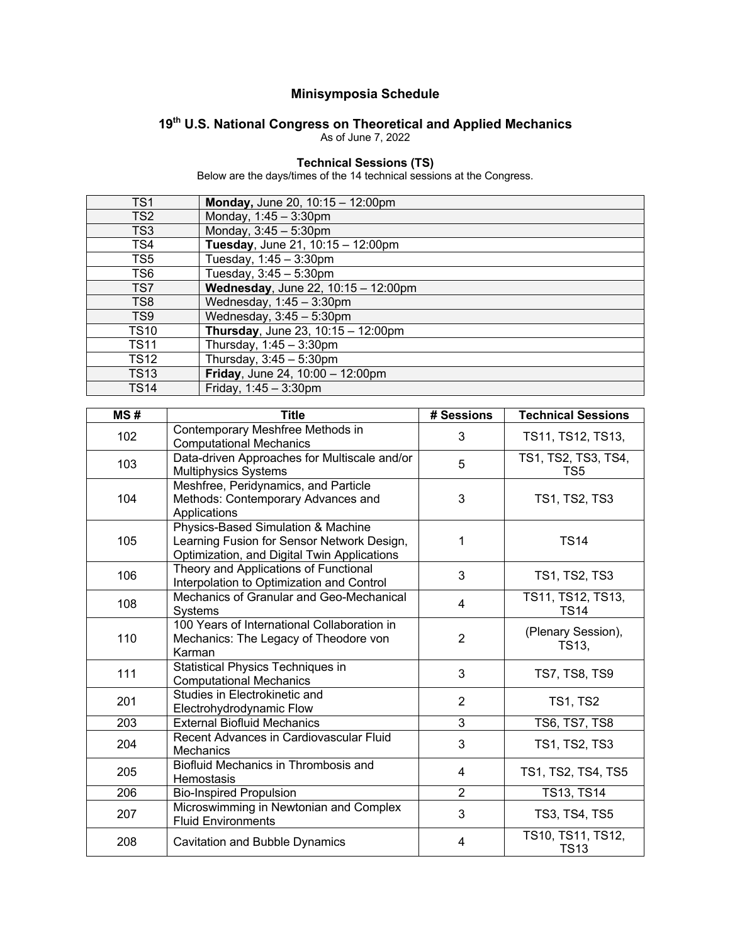## **Minisymposia Schedule**

## **19th U.S. National Congress on Theoretical and Applied Mechanics**

As of June 7, 2022

## **Technical Sessions (TS)**

Below are the days/times of the 14 technical sessions at the Congress.

| TS <sub>1</sub> | Monday, June 20, 10:15 - 12:00pm                      |
|-----------------|-------------------------------------------------------|
| TS <sub>2</sub> | Monday, 1:45 - 3:30pm                                 |
| TS <sub>3</sub> | Monday, 3:45 - 5:30pm                                 |
| TS4             | Tuesday, June 21, 10:15 - 12:00pm                     |
| TS5             | Tuesday, $1:45 - 3:30$ pm                             |
| TS6             | Tuesday, 3:45 - 5:30pm                                |
| TS7             | Wednesday, June 22, 10:15 - 12:00pm                   |
| TS <sub>8</sub> | Wednesday, $1:45 - 3:30$ pm                           |
| TS <sub>9</sub> | Wednesday, $3:45-5:30$ pm                             |
| <b>TS10</b>     | Thursday, June 23, 10:15 - 12:00pm                    |
| <b>TS11</b>     | Thursday, 1:45 - 3:30pm                               |
| <b>TS12</b>     | Thursday, $3:45-5:30$ pm                              |
| <b>TS13</b>     | Friday, June 24, $\overline{10:00 - 12:00 \text{pm}}$ |
| <b>TS14</b>     | Friday, $1:45 - 3:30$ pm                              |

| MS# | <b>Title</b>                                                                                                                    | # Sessions     | <b>Technical Sessions</b>        |
|-----|---------------------------------------------------------------------------------------------------------------------------------|----------------|----------------------------------|
| 102 | Contemporary Meshfree Methods in<br><b>Computational Mechanics</b>                                                              | 3              | TS11, TS12, TS13,                |
| 103 | Data-driven Approaches for Multiscale and/or<br><b>Multiphysics Systems</b>                                                     | 5              | TS1, TS2, TS3, TS4,<br>TS5       |
| 104 | Meshfree, Peridynamics, and Particle<br>Methods: Contemporary Advances and<br>Applications                                      | 3              | <b>TS1, TS2, TS3</b>             |
| 105 | Physics-Based Simulation & Machine<br>Learning Fusion for Sensor Network Design,<br>Optimization, and Digital Twin Applications | 1              | <b>TS14</b>                      |
| 106 | Theory and Applications of Functional<br>Interpolation to Optimization and Control                                              | 3              | <b>TS1, TS2, TS3</b>             |
| 108 | Mechanics of Granular and Geo-Mechanical<br>Systems                                                                             | $\overline{4}$ | TS11, TS12, TS13,<br><b>TS14</b> |
| 110 | 100 Years of International Collaboration in<br>Mechanics: The Legacy of Theodore von<br>Karman                                  | $\overline{2}$ | (Plenary Session),<br>TS13,      |
| 111 | Statistical Physics Techniques in<br><b>Computational Mechanics</b>                                                             | 3              | <b>TS7, TS8, TS9</b>             |
| 201 | Studies in Electrokinetic and<br>Electrohydrodynamic Flow                                                                       | $\overline{2}$ | <b>TS1, TS2</b>                  |
| 203 | <b>External Biofluid Mechanics</b>                                                                                              | 3              | <b>TS6, TS7, TS8</b>             |
| 204 | Recent Advances in Cardiovascular Fluid<br>Mechanics                                                                            | 3              | <b>TS1, TS2, TS3</b>             |
| 205 | Biofluid Mechanics in Thrombosis and<br>Hemostasis                                                                              | 4              | TS1, TS2, TS4, TS5               |
| 206 | <b>Bio-Inspired Propulsion</b>                                                                                                  | $\overline{2}$ | TS13, TS14                       |
| 207 | Microswimming in Newtonian and Complex<br><b>Fluid Environments</b>                                                             | 3              | <b>TS3, TS4, TS5</b>             |
| 208 | <b>Cavitation and Bubble Dynamics</b>                                                                                           | $\overline{4}$ | TS10, TS11, TS12,<br><b>TS13</b> |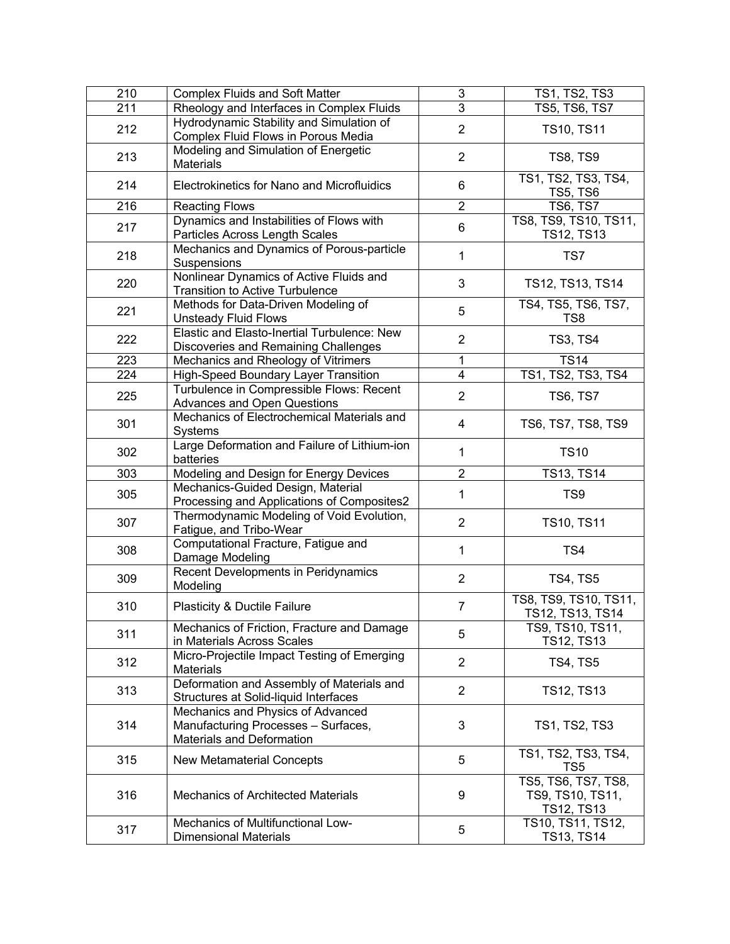| 210 | <b>Complex Fluids and Soft Matter</b>                                                                                     | 3                       | TS1, TS2, TS3                                                              |
|-----|---------------------------------------------------------------------------------------------------------------------------|-------------------------|----------------------------------------------------------------------------|
| 211 | Rheology and Interfaces in Complex Fluids                                                                                 | $\overline{3}$          | TS5, TS6, TS7                                                              |
| 212 | Hydrodynamic Stability and Simulation of<br>Complex Fluid Flows in Porous Media                                           | $\overline{2}$          | <b>TS10, TS11</b>                                                          |
| 213 | Modeling and Simulation of Energetic<br><b>Materials</b>                                                                  | $\overline{2}$          | <b>TS8, TS9</b>                                                            |
| 214 | Electrokinetics for Nano and Microfluidics                                                                                | 6                       | TS1, TS2, TS3, TS4,<br><b>TS5, TS6</b>                                     |
| 216 | <b>Reacting Flows</b>                                                                                                     | $\overline{2}$          | <b>TS6, TS7</b>                                                            |
| 217 | Dynamics and Instabilities of Flows with<br>Particles Across Length Scales                                                | 6                       | TS8, TS9, TS10, TS11,<br><b>TS12, TS13</b>                                 |
| 218 | Mechanics and Dynamics of Porous-particle<br>Suspensions                                                                  | $\mathbf{1}$            | TS7                                                                        |
| 220 | Nonlinear Dynamics of Active Fluids and<br><b>Transition to Active Turbulence</b>                                         | 3                       | TS12, TS13, TS14                                                           |
| 221 | Methods for Data-Driven Modeling of<br><b>Unsteady Fluid Flows</b>                                                        | 5                       | TS4, TS5, TS6, TS7,<br>TS8                                                 |
| 222 | Elastic and Elasto-Inertial Turbulence: New<br>Discoveries and Remaining Challenges                                       | $\overline{2}$          | <b>TS3, TS4</b>                                                            |
| 223 | Mechanics and Rheology of Vitrimers                                                                                       | 1                       | <b>TS14</b>                                                                |
| 224 | High-Speed Boundary Layer Transition                                                                                      | 4                       | TS1, TS2, TS3, TS4                                                         |
| 225 | Turbulence in Compressible Flows: Recent<br><b>Advances and Open Questions</b>                                            | $\overline{2}$          | <b>TS6, TS7</b>                                                            |
| 301 | Mechanics of Electrochemical Materials and<br><b>Systems</b>                                                              | 4                       | TS6, TS7, TS8, TS9                                                         |
| 302 | Large Deformation and Failure of Lithium-ion<br>batteries                                                                 | $\mathbf{1}$            | <b>TS10</b>                                                                |
|     |                                                                                                                           |                         |                                                                            |
| 303 |                                                                                                                           | $\overline{\mathbf{c}}$ | <b>TS13, TS14</b>                                                          |
| 305 | Modeling and Design for Energy Devices<br>Mechanics-Guided Design, Material<br>Processing and Applications of Composites2 | $\mathbf{1}$            | TS <sub>9</sub>                                                            |
| 307 | Thermodynamic Modeling of Void Evolution,<br>Fatigue, and Tribo-Wear                                                      | $\overline{2}$          | <b>TS10, TS11</b>                                                          |
| 308 | Computational Fracture, Fatigue and<br>Damage Modeling                                                                    | $\mathbf{1}$            | TS4                                                                        |
| 309 | Recent Developments in Peridynamics<br>Modeling                                                                           | $\overline{2}$          | <b>TS4, TS5</b>                                                            |
| 310 | Plasticity & Ductile Failure                                                                                              | 7                       | TS8, TS9, TS10, TS11,<br>TS12, TS13, TS14                                  |
| 311 | Mechanics of Friction, Fracture and Damage<br>in Materials Across Scales                                                  | 5                       | TS9, TS10, TS11,<br>TS12, TS13                                             |
| 312 | Micro-Projectile Impact Testing of Emerging<br><b>Materials</b>                                                           | $\overline{2}$          | <b>TS4, TS5</b>                                                            |
| 313 | Deformation and Assembly of Materials and<br>Structures at Solid-liquid Interfaces                                        | $\overline{2}$          | TS12, TS13                                                                 |
| 314 | Mechanics and Physics of Advanced<br>Manufacturing Processes - Surfaces,<br>Materials and Deformation                     | 3                       | <b>TS1, TS2, TS3</b>                                                       |
| 315 | New Metamaterial Concepts                                                                                                 | 5                       | TS1, TS2, TS3, TS4,<br>TS5                                                 |
| 316 | <b>Mechanics of Architected Materials</b><br>Mechanics of Multifunctional Low-                                            | 9                       | TS5, TS6, TS7, TS8,<br>TS9, TS10, TS11,<br>TS12, TS13<br>TS10, TS11, TS12, |